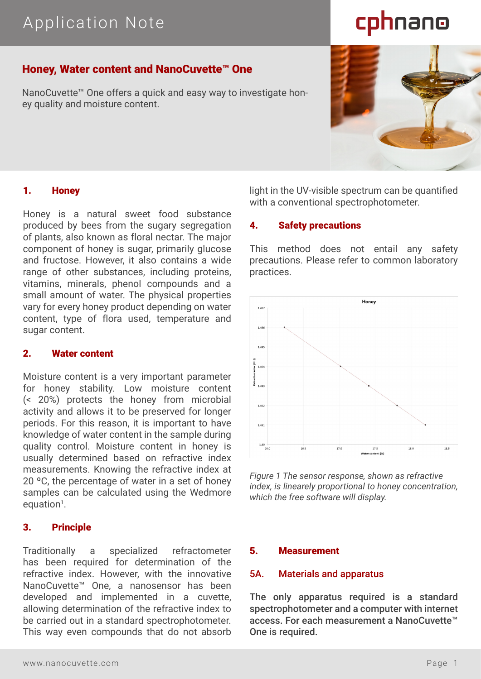# Application Note

# cphnano

# Honey, Water content and NanoCuvette™ One

NanoCuvette™ One offers a quick and easy way to investigate honey quality and moisture content.

# 1. Honey

Honey is a natural sweet food substance produced by bees from the sugary segregation of plants, also known as floral nectar. The major component of honey is sugar, primarily glucose and fructose. However, it also contains a wide range of other substances, including proteins, vitamins, minerals, phenol compounds and a small amount of water. The physical properties vary for every honey product depending on water content, type of flora used, temperature and sugar content.

# 2. Water content

Moisture content is a very important parameter for honey stability. Low moisture content (< 20%) protects the honey from microbial activity and allows it to be preserved for longer periods. For this reason, it is important to have knowledge of water content in the sample during quality control. Moisture content in honey is usually determined based on refractive index measurements. Knowing the refractive index at 20 ºC, the percentage of water in a set of honey samples can be calculated using the Wedmore  $equation<sup>1</sup>$ .

# 3. Principle

Traditionally a specialized refractometer has been required for determination of the refractive index. However, with the innovative NanoCuvette™ One, a nanosensor has been developed and implemented in a cuvette, allowing determination of the refractive index to be carried out in a standard spectrophotometer. This way even compounds that do not absorb light in the UV-visible spectrum can be quantified with a conventional spectrophotometer.

#### 4. Safety precautions

This method does not entail any safety precautions. Please refer to common laboratory practices.



*Figure 1 The sensor response, shown as refractive index, is linearely proportional to honey concentration, which the free software will display.*

#### 5. Measurement

#### 5A. Materials and apparatus

The only apparatus required is a standard spectrophotometer and a computer with internet access. For each measurement a NanoCuvette™ One is required.